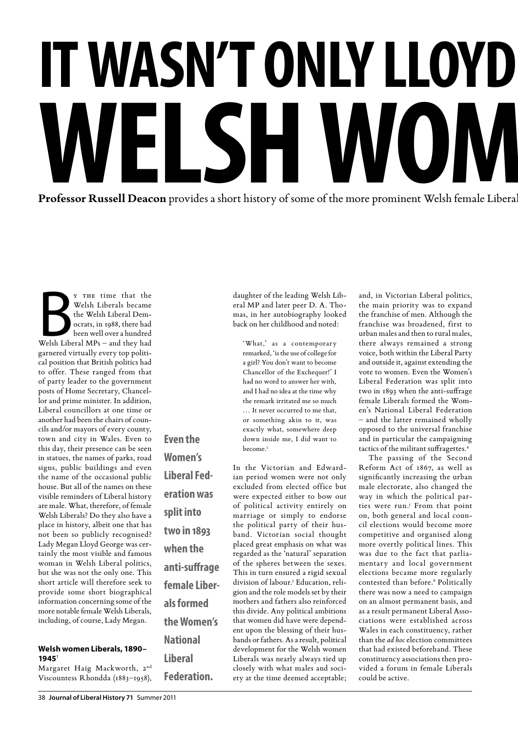# **IT WASN'T ONLY LLOYD WELSH WON**<br>Professor Russell Deacon provides a short history of some of the more prominent Welsh female Liberal **Professor Russell Deacon** provides a short history of some of the more prominent Welsh female Liberal

Y THE time that the<br>
Welsh Liberals became<br>
the Welsh Liberal Democrats, in 1988, there had<br>
been well over a hundred<br>
Welsh Liberal MPs – and they had y the time that the Welsh Liberals became the Welsh Liberal Democrats, in 1988, there had been well over a hundred garnered virtually every top political position that British politics had to offer. These ranged from that of party leader to the government posts of Home Secretary, Chancellor and prime minister. In addition, Liberal councillors at one time or another had been the chairs of councils and/or mayors of every county, town and city in Wales. Even to this day, their presence can be seen in statues, the names of parks, road signs, public buildings and even the name of the occasional public house. But all of the names on these visible reminders of Liberal history are male. What, therefore, of female Welsh Liberals? Do they also have a place in history, albeit one that has not been so publicly recognised? Lady Megan Lloyd George was certainly the most visible and famous woman in Welsh Liberal politics, but she was not the only one. This short article will therefore seek to provide some short biographical information concerning some of the more notable female Welsh Liberals, including, of course, Lady Megan.

**Even the** 

**Women's** 

**Liberal Fed-**

**eration was** 

**split into** 

**two in 1893** 

**when the** 

**anti-suffrage** 

**female Liber-**

**the Women's** 

**als formed** 

**National** 

**Liberal** 

**Federation.**

#### **Welsh women Liberals, 1890– 1945**<sup>1</sup>

Margaret Haig Mackworth, 2<sup>nd</sup> Viscountess Rhondda (1883–1958), daughter of the leading Welsh Liberal MP and later peer D. A. Thomas, in her autobiography looked back on her childhood and noted:

'What,' as a contemporary remarked, 'is the use of college for a girl? You don't want to become Chancellor of the Exchequer!' I had no word to answer her with, and I had no idea at the time why the remark irritated me so much … It never occurred to me that, or something akin to it, was exactly what, somewhere deep down inside me, I did want to become<sup>2</sup>

In the Victorian and Edwardian period women were not only excluded from elected office but were expected either to bow out of political activity entirely on marriage or simply to endorse the political party of their husband. Victorian social thought placed great emphasis on what was regarded as the 'natural' separation of the spheres between the sexes. This in turn ensured a rigid sexual division of labour.3 Education, religion and the role models set by their mothers and fathers also reinforced this divide. Any political ambitions that women did have were dependent upon the blessing of their husbands or fathers. As a result, political development for the Welsh women Liberals was nearly always tied up closely with what males and society at the time deemed acceptable;

and, in Victorian Liberal politics, the main priority was to expand the franchise of men. Although the franchise was broadened, first to urban males and then to rural males, there always remained a strong voice, both within the Liberal Party and outside it, against extending the vote to women. Even the Women's Liberal Federation was split into two in 1893 when the anti-suffrage female Liberals formed the Women's National Liberal Federation – and the latter remained wholly opposed to the universal franchise and in particular the campaigning tactics of the militant suffragettes.4

The passing of the Second Reform Act of 1867, as well as significantly increasing the urban male electorate, also changed the way in which the political parties were run.<sup>5</sup> From that point on, both general and local council elections would become more competitive and organised along more overtly political lines. This was due to the fact that parliamentary and local government elections became more regularly contested than before.<sup>6</sup> Politically there was now a need to campaign on an almost permanent basis, and as a result permanent Liberal Associations were established across Wales in each constituency, rather than the *ad hoc* election committees that had existed beforehand. These constituency associations then provided a forum in female Liberals could be active.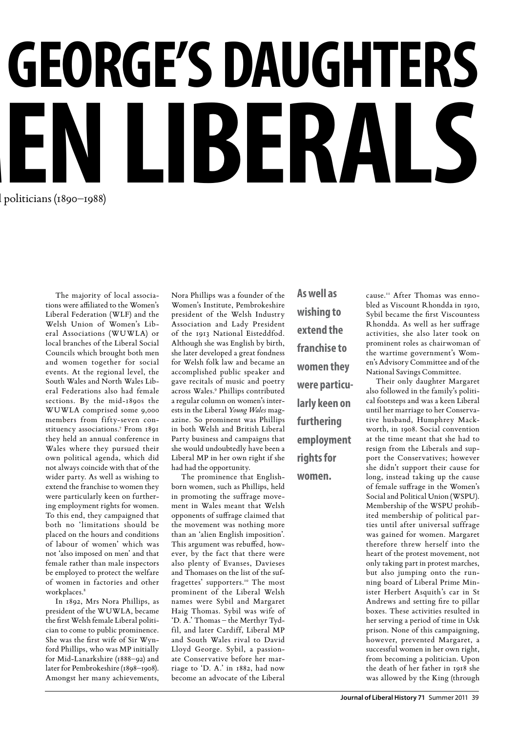## **GEORGE'S DAUGHTERS** politicians (1890–1988) **sh women liberals**

The majority of local associations were affiliated to the Women's Liberal Federation (WLF) and the Welsh Union of Women's Liberal Associations (WUWLA) or local branches of the Liberal Social Councils which brought both men and women together for social events. At the regional level, the South Wales and North Wales Liberal Federations also had female sections. By the mid-1890s the WUWLA comprised some 9,000 members from fifty-seven constituency associations.7 From 1891 they held an annual conference in Wales where they pursued their own political agenda, which did not always coincide with that of the wider party. As well as wishing to extend the franchise to women they were particularly keen on furthering employment rights for women. To this end, they campaigned that both no 'limitations should be placed on the hours and conditions of labour of women' which was not 'also imposed on men' and that female rather than male inspectors be employed to protect the welfare of women in factories and other workplaces.<sup>8</sup>

In 1892, Mrs Nora Phillips, as president of the WUWLA, became the first Welsh female Liberal politician to come to public prominence. She was the first wife of Sir Wynford Phillips, who was MP initially for Mid-Lanarkshire (1888–92) and later for Pembrokeshire (1898–1908). Amongst her many achievements,

Nora Phillips was a founder of the Women's Institute, Pembrokeshire president of the Welsh Industry Association and Lady President of the 1913 National Eisteddfod. Although she was English by birth, she later developed a great fondness for Welsh folk law and became an accomplished public speaker and gave recitals of music and poetry across Wales.<sup>9</sup> Phillips contributed a regular column on women's interests in the Liberal *Young Wales* magazine. So prominent was Phillips in both Welsh and British Liberal Party business and campaigns that she would undoubtedly have been a Liberal MP in her own right if she had had the opportunity.

The prominence that Englishborn women, such as Phillips, held in promoting the suffrage movement in Wales meant that Welsh opponents of suffrage claimed that the movement was nothing more than an 'alien English imposition'. This argument was rebuffed, however, by the fact that there were also plenty of Evanses, Davieses and Thomases on the list of the suffragettes' supporters.<sup>10</sup> The most prominent of the Liberal Welsh names were Sybil and Margaret Haig Thomas. Sybil was wife of 'D. A.' Thomas – the Merthyr Tydfil, and later Cardiff, Liberal MP and South Wales rival to David Lloyd George. Sybil, a passionate Conservative before her marriage to 'D. A.' in 1882, had now become an advocate of the Liberal

**As well as wishing to extend the franchise to women they were particularly keen on furthering employment rights for** 

**women.** 

cause.11 After Thomas was ennobled as Viscount Rhondda in 1910, Sybil became the first Viscountess Rhondda. As well as her suffrage activities, she also later took on prominent roles as chairwoman of the wartime government's Women's Advisory Committee and of the National Savings Committee.

Their only daughter Margaret also followed in the family's political footsteps and was a keen Liberal until her marriage to her Conservative husband, Humphrey Mackworth, in 1908. Social convention at the time meant that she had to resign from the Liberals and support the Conservatives; however she didn't support their cause for long, instead taking up the cause of female suffrage in the Women's Social and Political Union (WSPU). Membership of the WSPU prohibited membership of political parties until after universal suffrage was gained for women. Margaret therefore threw herself into the heart of the protest movement, not only taking part in protest marches, but also jumping onto the running board of Liberal Prime Minister Herbert Asquith's car in St Andrews and setting fire to pillar boxes. These activities resulted in her serving a period of time in Usk prison. None of this campaigning, however, prevented Margaret, a successful women in her own right, from becoming a politician. Upon the death of her father in 1918 she was allowed by the King (through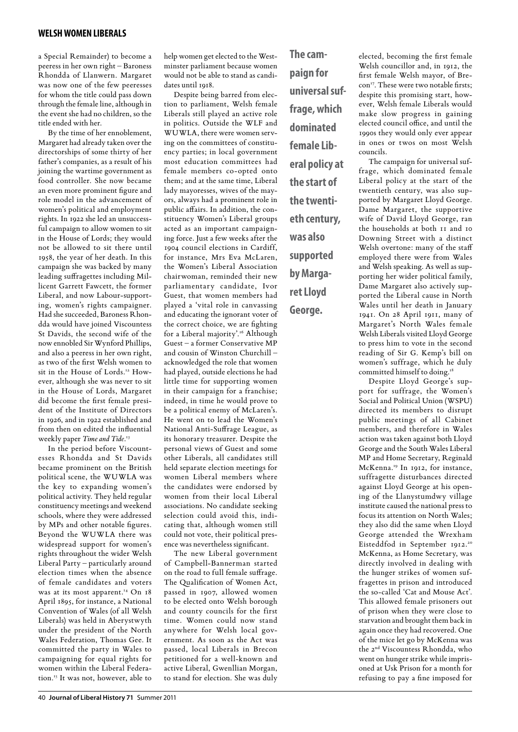#### **welsh women liberals**

a Special Remainder) to become a peeress in her own right – Baroness Rhondda of Llanwern. Margaret was now one of the few peeresses for whom the title could pass down through the female line, although in the event she had no children, so the title ended with her.

By the time of her ennoblement, Margaret had already taken over the directorships of some thirty of her father's companies, as a result of his joining the wartime government as food controller. She now became an even more prominent figure and role model in the advancement of women's political and employment rights. In 1922 she led an unsuccessful campaign to allow women to sit in the House of Lords; they would not be allowed to sit there until 1958, the year of her death. In this campaign she was backed by many leading suffragettes including Millicent Garrett Fawcett, the former Liberal, and now Labour-supporting, women's rights campaigner. Had she succeeded, Baroness Rhondda would have joined Viscountess St Davids, the second wife of the now ennobled Sir Wynford Phillips, and also a peeress in her own right, as two of the first Welsh women to sit in the House of Lords.12 However, although she was never to sit in the House of Lords, Margaret did become the first female president of the Institute of Directors in 1926, and in 1922 established and from then on edited the influential weekly paper *Time and Tide*. 13

In the period before Viscountesses Rhondda and St Davids became prominent on the British political scene, the WUWLA was the key to expanding women's political activity. They held regular constituency meetings and weekend schools, where they were addressed by MPs and other notable figures. Beyond the WUWLA there was widespread support for women's rights throughout the wider Welsh Liberal Party – particularly around election times when the absence of female candidates and voters was at its most apparent.<sup>14</sup> On 18 April 1895, for instance, a National Convention of Wales (of all Welsh Liberals) was held in Aberystwyth under the president of the North Wales Federation, Thomas Gee. It committed the party in Wales to campaigning for equal rights for women within the Liberal Federation.15 It was not, however, able to

help women get elected to the Westminster parliament because women would not be able to stand as candidates until 1018.

Despite being barred from election to parliament, Welsh female Liberals still played an active role in politics. Outside the WLF and WUWLA, there were women serving on the committees of constituency parties; in local government most education committees had female members co-opted onto them; and at the same time, Liberal lady mayoresses, wives of the mayors, always had a prominent role in public affairs. In addition, the constituency Women's Liberal groups acted as an important campaigning force. Just a few weeks after the 1904 council elections in Cardiff, for instance, Mrs Eva McLaren, the Women's Liberal Association chairwoman, reminded their new parliamentary candidate, Ivor Guest, that women members had played a 'vital role in canvassing and educating the ignorant voter of the correct choice, we are fighting for a Liberal majority'.<sup>16</sup> Although Guest – a former Conservative MP and cousin of Winston Churchill – acknowledged the role that women had played, outside elections he had little time for supporting women in their campaign for a franchise; indeed, in time he would prove to be a political enemy of McLaren's. He went on to lead the Women's National Anti-Suffrage League, as its honorary treasurer. Despite the personal views of Guest and some other Liberals, all candidates still held separate election meetings for women Liberal members where the candidates were endorsed by women from their local Liberal associations. No candidate seeking selection could avoid this, indicating that, although women still could not vote, their political presence was nevertheless significant.

The new Liberal government of Campbell-Bannerman started on the road to full female suffrage. The Qualification of Women Act, passed in 1907, allowed women to be elected onto Welsh borough and county councils for the first time. Women could now stand anywhere for Welsh local government. As soon as the Act was passed, local Liberals in Brecon petitioned for a well-known and active Liberal, Gwenllian Morgan, to stand for election. She was duly

**The campaign for universal suffrage, which dominated female Liberal policy at the start of the twentieth century, was also supported by Margaret Lloyd George.**

elected, becoming the first female Welsh councillor and, in 1912, the first female Welsh mayor, of Brecon<sup>17</sup>. These were two notable firsts: despite this promising start, however, Welsh female Liberals would make slow progress in gaining elected council office, and until the 1990s they would only ever appear in ones or twos on most Welsh councils.

The campaign for universal suffrage, which dominated female Liberal policy at the start of the twentieth century, was also supported by Margaret Lloyd George. Dame Margaret, the supportive wife of David Lloyd George, ran the households at both 11 and 10 Downing Street with a distinct Welsh overtone: many of the staff employed there were from Wales and Welsh speaking. As well as supporting her wider political family, Dame Margaret also actively supported the Liberal cause in North Wales until her death in January 1941. On 28 April 1911, many of Margaret's North Wales female Welsh Liberals visited Lloyd George to press him to vote in the second reading of Sir G. Kemp's bill on women's suffrage, which he duly committed himself to doing.<sup>18</sup>

Despite Lloyd George's support for suffrage, the Women's Social and Political Union (WSPU) directed its members to disrupt public meetings of all Cabinet members, and therefore in Wales action was taken against both Lloyd George and the South Wales Liberal MP and Home Secretary, Reginald McKenna.19 In 1912, for instance, suffragette disturbances directed against Lloyd George at his opening of the Llanystumdwy village institute caused the national press to focus its attention on North Wales; they also did the same when Lloyd George attended the Wrexham Eisteddfod in September 1912.<sup>20</sup> McKenna, as Home Secretary, was directly involved in dealing with the hunger strikes of women suffragettes in prison and introduced the so-called 'Cat and Mouse Act'. This allowed female prisoners out of prison when they were close to starvation and brought them back in again once they had recovered. One of the mice let go by McKenna was the 2nd Viscountess Rhondda, who went on hunger strike while imprisoned at Usk Prison for a month for refusing to pay a fine imposed for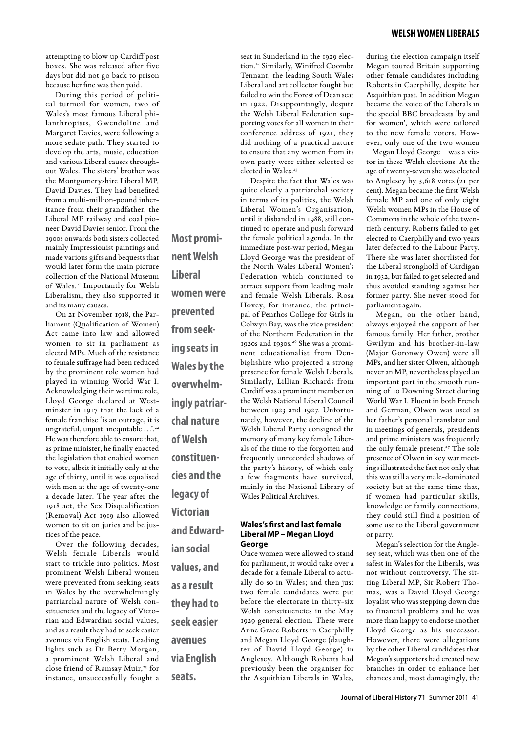attempting to blow up Cardiff post boxes. She was released after five days but did not go back to prison because her fine was then paid.

During this period of political turmoil for women, two of Wales's most famous Liberal philanthropists, Gwendoline and Margaret Davies, were following a more sedate path. They started to develop the arts, music, education and various Liberal causes throughout Wales. The sisters' brother was the Montgomeryshire Liberal MP, David Davies. They had benefited from a multi-million-pound inheritance from their grandfather, the Liberal MP railway and coal pioneer David Davies senior. From the 1900s onwards both sisters collected mainly Impressionist paintings and made various gifts and bequests that would later form the main picture collection of the National Museum of Wales.21 Importantly for Welsh Liberalism, they also supported it and its many causes.

On 21 November 1918, the Parliament (Qualification of Women) Act came into law and allowed women to sit in parliament as elected MPs. Much of the resistance to female suffrage had been reduced by the prominent role women had played in winning World War I. Acknowledging their wartime role, Lloyd George declared at Westminster in 1917 that the lack of a female franchise 'is an outrage, it is ungrateful, unjust, inequitable ...'.<sup>22</sup> He was therefore able to ensure that, as prime minister, he finally enacted the legislation that enabled women to vote, albeit it initially only at the age of thirty, until it was equalised with men at the age of twenty-one a decade later. The year after the 1918 act, the Sex Disqualification (Removal) Act 1919 also allowed women to sit on juries and be justices of the peace.

Over the following decades, Welsh female Liberals would start to trickle into politics. Most prominent Welsh Liberal women were prevented from seeking seats in Wales by the overwhelmingly patriarchal nature of Welsh constituencies and the legacy of Victorian and Edwardian social values, and as a result they had to seek easier avenues via English seats. Leading lights such as Dr Betty Morgan, a prominent Welsh Liberal and close friend of Ramsay Muir,<sup>23</sup> for instance, unsuccessfully fought a

**Most prominent Welsh Liberal women were prevented from seeking seats in Wales by the overwhelmingly patriarchal nature of Welsh constituencies and the legacy of Victorian and Edwardian social values, and as a result they had to seek easier avenues** 

**via English** 

**seats.**

seat in Sunderland in the 1929 election.24 Similarly, Winifred Coombe Tennant, the leading South Wales Liberal and art collector fought but failed to win the Forest of Dean seat in 1922. Disappointingly, despite the Welsh Liberal Federation supporting votes for all women in their conference address of 1921, they did nothing of a practical nature to ensure that any women from its own party were either selected or elected in Wales.<sup>25</sup>

Despite the fact that Wales was quite clearly a patriarchal society in terms of its politics, the Welsh Liberal Women's Organisation, until it disbanded in 1988, still continued to operate and push forward the female political agenda. In the immediate post-war period, Megan Lloyd George was the president of the North Wales Liberal Women's Federation which continued to attract support from leading male and female Welsh Liberals. Rosa Hovey, for instance, the principal of Penrhos College for Girls in Colwyn Bay, was the vice president of the Northern Federation in the 1920s and 1930s.26 She was a prominent educationalist from Denbighshire who projected a strong presence for female Welsh Liberals. Similarly, Lillian Richards from Cardiff was a prominent member on the Welsh National Liberal Council between 1923 and 1927. Unfortunately, however, the decline of the Welsh Liberal Party consigned the memory of many key female Liberals of the time to the forgotten and frequently unrecorded shadows of the party's history, of which only a few fragments have survived, mainly in the National Library of Wales Political Archives.

#### **Wales's first and last female Liberal MP – Megan Lloyd George**

Once women were allowed to stand for parliament, it would take over a decade for a female Liberal to actually do so in Wales; and then just two female candidates were put before the electorate in thirty-six Welsh constituencies in the May 1929 general election. These were Anne Grace Roberts in Caerphilly and Megan Lloyd George (daughter of David Lloyd George) in Anglesey. Although Roberts had previously been the organiser for the Asquithian Liberals in Wales,

during the election campaign itself Megan toured Britain supporting other female candidates including Roberts in Caerphilly, despite her Asquithian past. In addition Megan became the voice of the Liberals in the special BBC broadcasts 'by and for women', which were tailored to the new female voters. However, only one of the two women – Megan Lloyd George – was a victor in these Welsh elections. At the age of twenty-seven she was elected to Anglesey by 5,618 votes (21 per cent). Megan became the first Welsh female MP and one of only eight Welsh women MPs in the House of Commons in the whole of the twentieth century. Roberts failed to get elected to Caerphilly and two years later defected to the Labour Party. There she was later shortlisted for the Liberal stronghold of Cardigan in 1932, but failed to get selected and thus avoided standing against her former party. She never stood for parliament again.

Megan, on the other hand, always enjoyed the support of her famous family. Her father, brother Gwilym and his brother-in-law (Major Goronwy Owen) were all MPs, and her sister Olwen, although never an MP, nevertheless played an important part in the smooth running of 10 Downing Street during World War I. Fluent in both French and German, Olwen was used as her father's personal translator and in meetings of generals, presidents and prime ministers was frequently the only female present.<sup>27</sup> The sole presence of Olwen in key war meetings illustrated the fact not only that this was still a very male-dominated society but at the same time that, if women had particular skills, knowledge or family connections, they could still find a position of some use to the Liberal government or party.

Megan's selection for the Anglesey seat, which was then one of the safest in Wales for the Liberals, was not without controversy. The sitting Liberal MP, Sir Robert Thomas, was a David Lloyd George loyalist who was stepping down due to financial problems and he was more than happy to endorse another Lloyd George as his successor. However, there were allegations by the other Liberal candidates that Megan's supporters had created new branches in order to enhance her chances and, most damagingly, the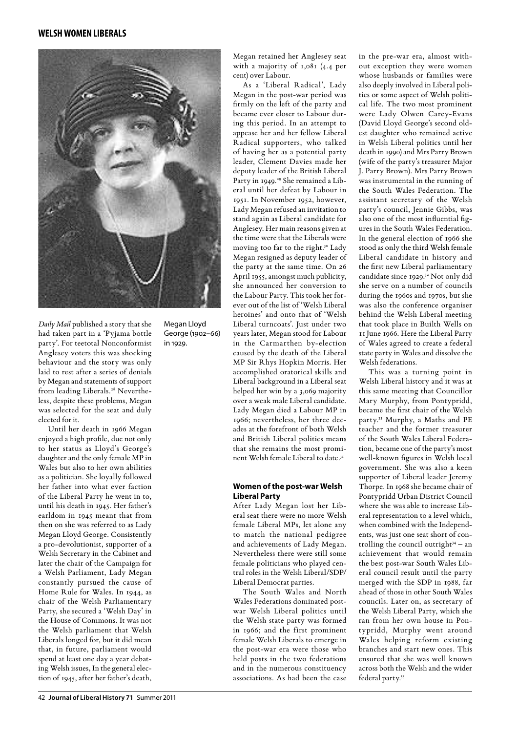#### **welsh women liberals**



*Daily Mail* published a story that she had taken part in a 'Pyjama bottle party'. For teetotal Nonconformist Anglesey voters this was shocking behaviour and the story was only laid to rest after a series of denials by Megan and statements of support from leading Liberals.<sup>28</sup> Nevertheless, despite these problems, Megan was selected for the seat and duly elected for it.

Until her death in 1966 Megan enjoyed a high profile, due not only to her status as Lloyd's George's daughter and the only female MP in Wales but also to her own abilities as a politician. She loyally followed her father into what ever faction of the Liberal Party he went in to, until his death in 1945. Her father's earldom in 1945 meant that from then on she was referred to as Lady Megan Lloyd George. Consistently a pro-devolutionist, supporter of a Welsh Secretary in the Cabinet and later the chair of the Campaign for a Welsh Parliament, Lady Megan constantly pursued the cause of Home Rule for Wales. In 1944, as chair of the Welsh Parliamentary Party, she secured a 'Welsh Day' in the House of Commons. It was not the Welsh parliament that Welsh Liberals longed for, but it did mean that, in future, parliament would spend at least one day a year debating Welsh issues, In the general election of 1945, after her father's death,

Megan Lloyd George (1902–66) in 1929.

Megan retained her Anglesey seat with a majority of 1,081 (4.4 per cent) over Labour.

As a 'Liberal Radical', Lady Megan in the post-war period was firmly on the left of the party and became ever closer to Labour during this period. In an attempt to appease her and her fellow Liberal Radical supporters, who talked of having her as a potential party leader, Clement Davies made her deputy leader of the British Liberal Party in 1949.<sup>29</sup> She remained a Liberal until her defeat by Labour in 1951. In November 1952, however, Lady Megan refused an invitation to stand again as Liberal candidate for Anglesey. Her main reasons given at the time were that the Liberals were moving too far to the right.<sup>30</sup> Lady Megan resigned as deputy leader of the party at the same time. On 26 April 1955, amongst much publicity, she announced her conversion to the Labour Party. This took her forever out of the list of 'Welsh Liberal heroines' and onto that of 'Welsh Liberal turncoats'. Just under two years later, Megan stood for Labour in the Carmarthen by-election caused by the death of the Liberal MP Sir Rhys Hopkin Morris. Her accomplished oratorical skills and Liberal background in a Liberal seat helped her win by a 3,069 majority over a weak male Liberal candidate. Lady Megan died a Labour MP in 1966; nevertheless, her three decades at the forefront of both Welsh and British Liberal politics means that she remains the most prominent Welsh female Liberal to date.31

#### **Women of the post-war Welsh Liberal Party**

After Lady Megan lost her Liberal seat there were no more Welsh female Liberal MPs, let alone any to match the national pedigree and achievements of Lady Megan. Nevertheless there were still some female politicians who played central roles in the Welsh Liberal/SDP/ Liberal Democrat parties.

The South Wales and North Wales Federations dominated postwar Welsh Liberal politics until the Welsh state party was formed in 1966; and the first prominent female Welsh Liberals to emerge in the post-war era were those who held posts in the two federations and in the numerous constituency associations. As had been the case

in the pre-war era, almost without exception they were women whose husbands or families were also deeply involved in Liberal politics or some aspect of Welsh political life. The two most prominent were Lady Olwen Carey-Evans (David Lloyd George's second oldest daughter who remained active in Welsh Liberal politics until her death in 1990) and Mrs Parry Brown (wife of the party's treasurer Major J. Parry Brown). Mrs Parry Brown was instrumental in the running of the South Wales Federation. The assistant secretary of the Welsh party's council, Jennie Gibbs, was also one of the most influential figures in the South Wales Federation. In the general election of 1966 she stood as only the third Welsh female Liberal candidate in history and the first new Liberal parliamentary candidate since 1929.32 Not only did she serve on a number of councils during the 1960s and 1970s, but she was also the conference organiser behind the Welsh Liberal meeting that took place in Builth Wells on 11 June 1966. Here the Liberal Party of Wales agreed to create a federal state party in Wales and dissolve the Welsh federations.

This was a turning point in Welsh Liberal history and it was at this same meeting that Councillor Mary Murphy, from Pontypridd, became the first chair of the Welsh party.33 Murphy, a Maths and PE teacher and the former treasurer of the South Wales Liberal Federation, became one of the party's most well-known figures in Welsh local government. She was also a keen supporter of Liberal leader Jeremy Thorpe. In 1968 she became chair of Pontypridd Urban District Council where she was able to increase Liberal representation to a level which, when combined with the Independents, was just one seat short of controlling the council outright $34 - an$ achievement that would remain the best post-war South Wales Liberal council result until the party merged with the SDP in 1988, far ahead of those in other South Wales councils. Later on, as secretary of the Welsh Liberal Party, which she ran from her own house in Pontypridd, Murphy went around Wales helping reform existing branches and start new ones. This ensured that she was well known across both the Welsh and the wider federal party.35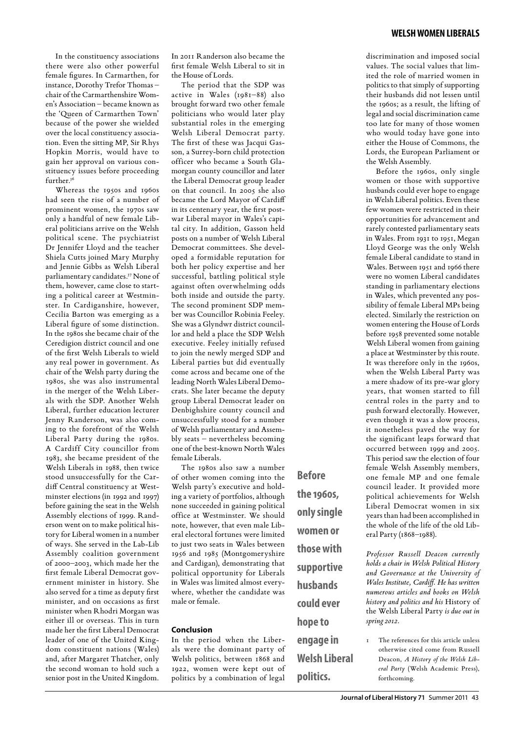In the constituency associations there were also other powerful female figures. In Carmarthen, for instance, Dorothy Trefor Thomas – chair of the Carmarthenshire Women's Association – became known as the 'Queen of Carmarthen Town' because of the power she wielded over the local constituency association. Even the sitting MP, Sir Rhys Hopkin Morris, would have to gain her approval on various constituency issues before proceeding further.<sup>36</sup>

Whereas the 1950s and 1960s had seen the rise of a number of prominent women, the 1970s saw only a handful of new female Liberal politicians arrive on the Welsh political scene. The psychiatrist Dr Jennifer Lloyd and the teacher Shiela Cutts joined Mary Murphy and Jennie Gibbs as Welsh Liberal parliamentary candidates.37 None of them, however, came close to starting a political career at Westminster. In Cardiganshire, however, Cecilia Barton was emerging as a Liberal figure of some distinction. In the 1980s she became chair of the Ceredigion district council and one of the first Welsh Liberals to wield any real power in government. As chair of the Welsh party during the 1980s, she was also instrumental in the merger of the Welsh Liberals with the SDP. Another Welsh Liberal, further education lecturer Jenny Randerson, was also coming to the forefront of the Welsh Liberal Party during the 1980s. A Cardiff City councillor from 1983, she became president of the Welsh Liberals in 1988, then twice stood unsuccessfully for the Cardiff Central constituency at Westminster elections (in 1992 and 1997) before gaining the seat in the Welsh Assembly elections of 1999. Randerson went on to make political history for Liberal women in a number of ways. She served in the Lab-Lib Assembly coalition government of 2000–2003, which made her the first female Liberal Democrat government minister in history. She also served for a time as deputy first minister, and on occasions as first minister when Rhodri Morgan was either ill or overseas. This in turn made her the first Liberal Democrat leader of one of the United Kingdom constituent nations (Wales) and, after Margaret Thatcher, only the second woman to hold such a senior post in the United Kingdom.

In 2011 Randerson also became the first female Welsh Liberal to sit in the House of Lords.

The period that the SDP was active in Wales (1981–88) also brought forward two other female politicians who would later play substantial roles in the emerging Welsh Liberal Democrat party. The first of these was Jacqui Gasson, a Surrey-born child protection officer who became a South Glamorgan county councillor and later the Liberal Democrat group leader on that council. In 2005 she also became the Lord Mayor of Cardiff in its centenary year, the first postwar Liberal mayor in Wales's capital city. In addition, Gasson held posts on a number of Welsh Liberal Democrat committees. She developed a formidable reputation for both her policy expertise and her successful, battling political style against often overwhelming odds both inside and outside the party. The second prominent SDP member was Councillor Robinia Feeley. She was a Glyndwr district councillor and held a place the SDP Welsh executive. Feeley initially refused to join the newly merged SDP and Liberal parties but did eventually come across and became one of the leading North Wales Liberal Democrats. She later became the deputy group Liberal Democrat leader on Denbighshire county council and unsuccessfully stood for a number of Welsh parliamentary and Assembly seats – nevertheless becoming one of the best-known North Wales female Liberals.

The 1980s also saw a number of other women coming into the Welsh party's executive and holding a variety of portfolios, although none succeeded in gaining political office at Westminster. We should note, however, that even male Liberal electoral fortunes were limited to just two seats in Wales between 1956 and 1985 (Montgomeryshire and Cardigan), demonstrating that political opportunity for Liberals in Wales was limited almost everywhere, whether the candidate was male or female.

#### **Conclusion**

In the period when the Liberals were the dominant party of Welsh politics, between 1868 and 1922, women were kept out of politics by a combination of legal

**Before the 1960s, only single women or those with supportive husbands could ever hope to engage in Welsh Liberal** 

**politics.**

discrimination and imposed social values. The social values that limited the role of married women in politics to that simply of supporting their husbands did not lessen until the 1960s; as a result, the lifting of legal and social discrimination came too late for many of those women who would today have gone into either the House of Commons, the Lords, the European Parliament or the Welsh Assembly.

Before the 1960s, only single women or those with supportive husbands could ever hope to engage in Welsh Liberal politics. Even these few women were restricted in their opportunities for advancement and rarely contested parliamentary seats in Wales. From 1931 to 1951, Megan Lloyd George was the only Welsh female Liberal candidate to stand in Wales. Between 1951 and 1966 there were no women Liberal candidates standing in parliamentary elections in Wales, which prevented any possibility of female Liberal MPs being elected. Similarly the restriction on women entering the House of Lords before 1958 prevented some notable Welsh Liberal women from gaining a place at Westminster by this route. It was therefore only in the 1960s, when the Welsh Liberal Party was a mere shadow of its pre-war glory years, that women started to fill central roles in the party and to push forward electorally. However, even though it was a slow process, it nonetheless paved the way for the significant leaps forward that occurred between 1999 and 2005. This period saw the election of four female Welsh Assembly members, one female MP and one female council leader. It provided more political achievements for Welsh Liberal Democrat women in six years than had been accomplished in the whole of the life of the old Liberal Party (1868–1988).

*Professor Russell Deacon currently holds a chair in Welsh Political History and Governance at the University of Wales Institute, Cardiff. He has written numerous articles and books on Welsh history and politics and his* History of the Welsh Liberal Party *is due out in spring 2012.* 

1 The references for this article unless otherwise cited come from Russell Deacon, *A History of the Welsh Liberal Party* (Welsh Academic Press), forthcoming.